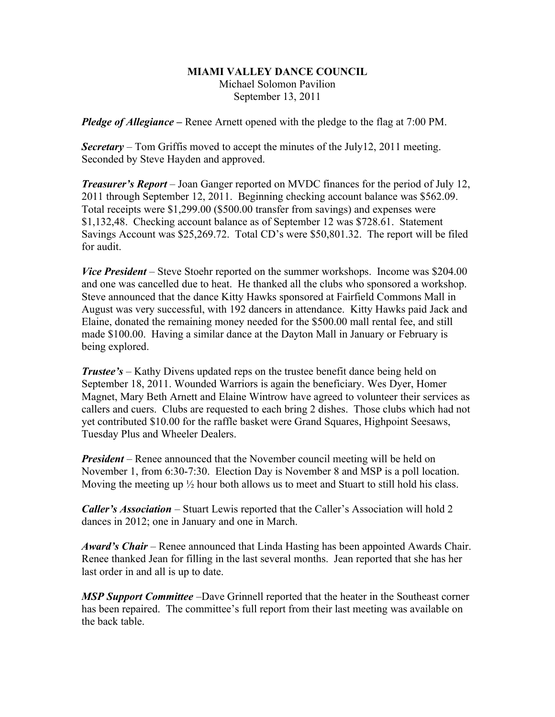## **MIAMI VALLEY DANCE COUNCIL** Michael Solomon Pavilion September 13, 2011

*Pledge of Allegiance –* Renee Arnett opened with the pledge to the flag at 7:00 PM.

*Secretary –* Tom Griffis moved to accept the minutes of the July12, 2011 meeting. Seconded by Steve Hayden and approved.

*Treasurer's Report* – Joan Ganger reported on MVDC finances for the period of July 12, 2011 through September 12, 2011. Beginning checking account balance was \$562.09. Total receipts were \$1,299.00 (\$500.00 transfer from savings) and expenses were \$1,132,48. Checking account balance as of September 12 was \$728.61. Statement Savings Account was \$25,269.72. Total CD's were \$50,801.32. The report will be filed for audit.

*Vice President* – Steve Stoehr reported on the summer workshops. Income was \$204.00 and one was cancelled due to heat. He thanked all the clubs who sponsored a workshop. Steve announced that the dance Kitty Hawks sponsored at Fairfield Commons Mall in August was very successful, with 192 dancers in attendance. Kitty Hawks paid Jack and Elaine, donated the remaining money needed for the \$500.00 mall rental fee, and still made \$100.00. Having a similar dance at the Dayton Mall in January or February is being explored.

*Trustee's* – Kathy Divens updated reps on the trustee benefit dance being held on September 18, 2011. Wounded Warriors is again the beneficiary. Wes Dyer, Homer Magnet, Mary Beth Arnett and Elaine Wintrow have agreed to volunteer their services as callers and cuers. Clubs are requested to each bring 2 dishes. Those clubs which had not yet contributed \$10.00 for the raffle basket were Grand Squares, Highpoint Seesaws, Tuesday Plus and Wheeler Dealers.

*President* – Renee announced that the November council meeting will be held on November 1, from 6:30-7:30. Election Day is November 8 and MSP is a poll location. Moving the meeting up  $\frac{1}{2}$  hour both allows us to meet and Stuart to still hold his class.

*Caller's Association* – Stuart Lewis reported that the Caller's Association will hold 2 dances in 2012; one in January and one in March.

*Award's Chair* – Renee announced that Linda Hasting has been appointed Awards Chair. Renee thanked Jean for filling in the last several months. Jean reported that she has her last order in and all is up to date.

*MSP Support Committee* –Dave Grinnell reported that the heater in the Southeast corner has been repaired. The committee's full report from their last meeting was available on the back table.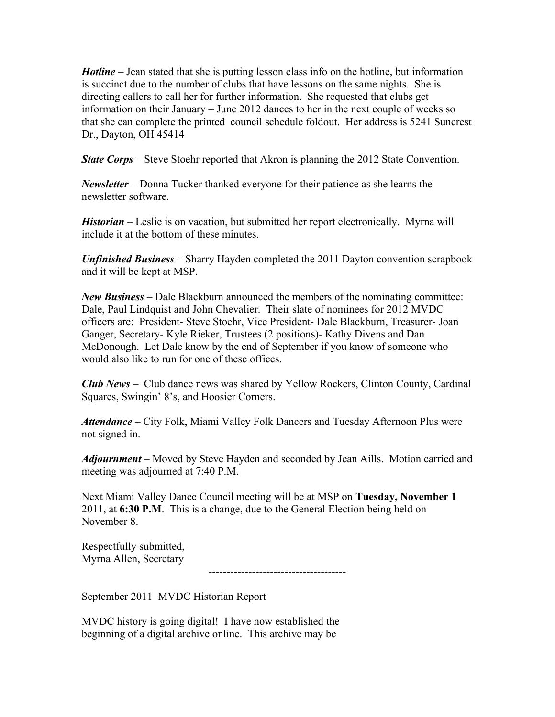*Hotline* – Jean stated that she is putting lesson class info on the hotline, but information is succinct due to the number of clubs that have lessons on the same nights. She is directing callers to call her for further information. She requested that clubs get information on their January – June 2012 dances to her in the next couple of weeks so that she can complete the printed council schedule foldout. Her address is 5241 Suncrest Dr., Dayton, OH 45414

*State Corps* – Steve Stoehr reported that Akron is planning the 2012 State Convention.

*Newsletter* – Donna Tucker thanked everyone for their patience as she learns the newsletter software.

*Historian* – Leslie is on vacation, but submitted her report electronically. Myrna will include it at the bottom of these minutes.

*Unfinished Business* – Sharry Hayden completed the 2011 Dayton convention scrapbook and it will be kept at MSP.

*New Business* – Dale Blackburn announced the members of the nominating committee: Dale, Paul Lindquist and John Chevalier. Their slate of nominees for 2012 MVDC officers are: President- Steve Stoehr, Vice President- Dale Blackburn, Treasurer- Joan Ganger, Secretary- Kyle Rieker, Trustees (2 positions)- Kathy Divens and Dan McDonough. Let Dale know by the end of September if you know of someone who would also like to run for one of these offices.

*Club News –* Club dance news was shared by Yellow Rockers, Clinton County, Cardinal Squares, Swingin' 8's, and Hoosier Corners.

*Attendance* – City Folk, Miami Valley Folk Dancers and Tuesday Afternoon Plus were not signed in.

*Adjournment* – Moved by Steve Hayden and seconded by Jean Aills. Motion carried and meeting was adjourned at 7:40 P.M.

Next Miami Valley Dance Council meeting will be at MSP on **Tuesday, November 1** 2011, at **6:30 P.M**. This is a change, due to the General Election being held on November 8.

Respectfully submitted, Myrna Allen, Secretary

--------------------------------------

September 2011 MVDC Historian Report

MVDC history is going digital! I have now established the beginning of a digital archive online. This archive may be